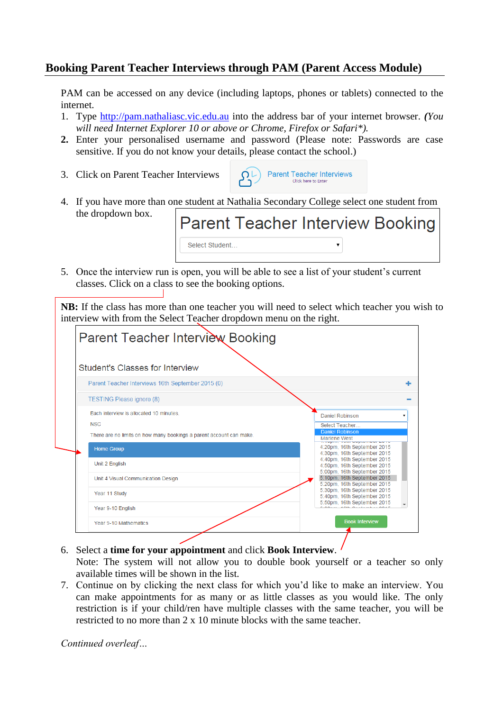## **Booking Parent Teacher Interviews through PAM (Parent Access Module)**

PAM can be accessed on any device (including laptops, phones or tablets) connected to the internet.

- 1. Type [http://pam.nathaliasc.vic.edu.au](http://pam.nathaliasc.vic.edu.au/) into the address bar of your internet browser. *(You will need Internet Explorer 10 or above or Chrome, Firefox or Safari\*).*
- **2.** Enter your personalised username and password (Please note: Passwords are case sensitive. If you do not know your details, please contact the school.)
- 3. Click on Parent Teacher Interviews

classes. Click on a class to see the booking options.



4. If you have more than one student at Nathalia Secondary College select one student from the dropdown box. Parent Teacher Interview Booking

|  | OCICLE ORRETTE                                                                              |  |  |
|--|---------------------------------------------------------------------------------------------|--|--|
|  |                                                                                             |  |  |
|  | 5. Once the interview run is open, you will be able to see a list of your student's current |  |  |

**NB:** If the class has more than one teacher you will need to select which teacher you wish to interview with from the Select Teacher dropdown menu on the right.

| Student's Classes for Interview                                     |                                                            |
|---------------------------------------------------------------------|------------------------------------------------------------|
| Parent Teacher Interviews 16th September 2015 (0)                   |                                                            |
| <b>TESTING Please ignore (8)</b>                                    |                                                            |
| Fach interview is allocated 10 minutes                              | Daniel Robinson                                            |
| <b>NSC</b>                                                          | Select Teacher                                             |
| There are no limits on how many bookings a parent account can make. | <b>Daniel Robinson</b>                                     |
|                                                                     | Marlene West                                               |
| <b>Home Group</b>                                                   | 4:20pm, 16th September 2015<br>4:30pm, 16th September 2015 |
|                                                                     | 4:40pm, 16th September 2015                                |
| Unit 2 English                                                      | 4:50pm, 16th September 2015                                |
| Unit 4 Visual Communication Design                                  | 5:00pm, 16th September 2015<br>5:10pm, 16th September 2015 |
|                                                                     | 5:20pm, 16th September 2015                                |
| Year 11 Study                                                       | 5:30pm, 16th September 2015<br>5:40pm, 16th September 2015 |
|                                                                     | 5:50pm, 16th September 2015                                |
| Year 9-10 English                                                   |                                                            |

- 6. Select a **time for your appointment** and click **Book Interview**. Note: The system will not allow you to double book yourself or a teacher so only available times will be shown in the list.
- 7. Continue on by clicking the next class for which you'd like to make an interview. You can make appointments for as many or as little classes as you would like. The only restriction is if your child/ren have multiple classes with the same teacher, you will be restricted to no more than 2 x 10 minute blocks with the same teacher.

*Continued overleaf…*